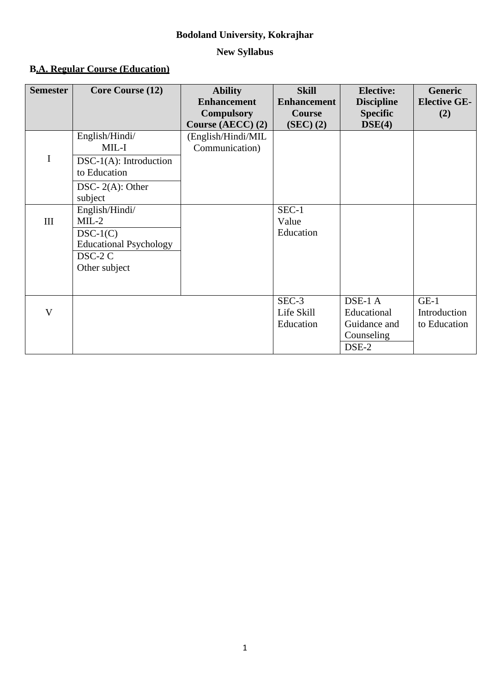# **Bodoland University, Kokrajhar**

# **New Syllabus**

# **B.A. Regular Course (Education)**

| <b>Semester</b> | <b>Core Course (12)</b>                                                                                  | <b>Ability</b><br><b>Enhancement</b><br><b>Compulsory</b><br>Course (AECC) (2) | <b>Skill</b><br><b>Enhancement</b><br><b>Course</b><br>(SEC) (2) | <b>Elective:</b><br><b>Discipline</b><br><b>Specific</b><br>DSE(4) | <b>Generic</b><br><b>Elective GE-</b><br>(2) |
|-----------------|----------------------------------------------------------------------------------------------------------|--------------------------------------------------------------------------------|------------------------------------------------------------------|--------------------------------------------------------------------|----------------------------------------------|
| I               | English/Hindi/<br>$MIL-I$<br>$DSC-1(A)$ : Introduction<br>to Education<br>DSC- $2(A)$ : Other<br>subject | (English/Hindi/MIL<br>Communication)                                           |                                                                  |                                                                    |                                              |
| III             | English/Hindi/<br>$MIL-2$<br>$DSC-1(C)$<br><b>Educational Psychology</b><br>DSC-2 C<br>Other subject     |                                                                                | $SEC-1$<br>Value<br>Education                                    |                                                                    |                                              |
| $\mathbf{V}$    |                                                                                                          |                                                                                | SEC-3<br>Life Skill<br>Education                                 | DSE-1 A<br>Educational<br>Guidance and<br>Counseling<br>DSE-2      | $GE-1$<br>Introduction<br>to Education       |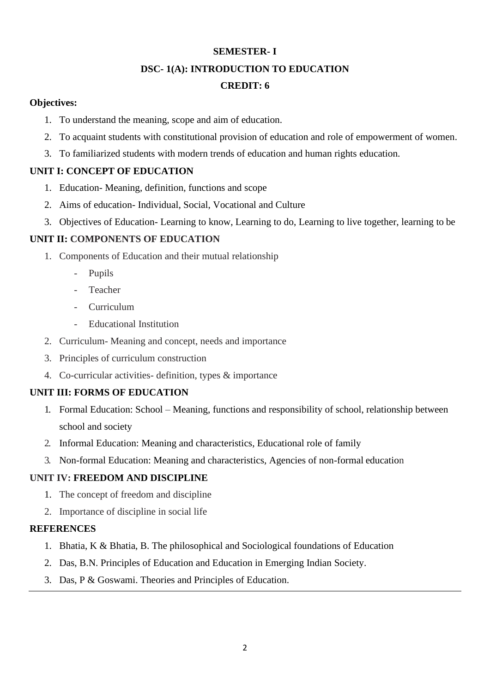# **SEMESTER- I**

#### **DSC- 1(A): INTRODUCTION TO EDUCATION**

# **CREDIT: 6**

## **Objectives:**

- 1. To understand the meaning, scope and aim of education.
- 2. To acquaint students with constitutional provision of education and role of empowerment of women.
- 3. To familiarized students with modern trends of education and human rights education.

# **UNIT I: CONCEPT OF EDUCATION**

- 1. Education- Meaning, definition, functions and scope
- 2. Aims of education- Individual, Social, Vocational and Culture
- 3. Objectives of Education- Learning to know, Learning to do, Learning to live together, learning to be

# **UNIT II: COMPONENTS OF EDUCATION**

- 1. Components of Education and their mutual relationship
	- Pupils
	- Teacher
	- Curriculum
	- Educational Institution
- 2. Curriculum- Meaning and concept, needs and importance
- 3. Principles of curriculum construction
- 4. Co-curricular activities- definition, types & importance

# **UNIT III: FORMS OF EDUCATION**

- 1. Formal Education: School Meaning, functions and responsibility of school, relationship between school and society
- 2. Informal Education: Meaning and characteristics, Educational role of family
- 3. Non-formal Education: Meaning and characteristics, Agencies of non-formal education

# **UNIT IV: FREEDOM AND DISCIPLINE**

- 1. The concept of freedom and discipline
- 2. Importance of discipline in social life

## **REFERENCES**

- 1. Bhatia, K & Bhatia, B. The philosophical and Sociological foundations of Education
- 2. Das, B.N. Principles of Education and Education in Emerging Indian Society.
- 3. Das, P & Goswami. Theories and Principles of Education.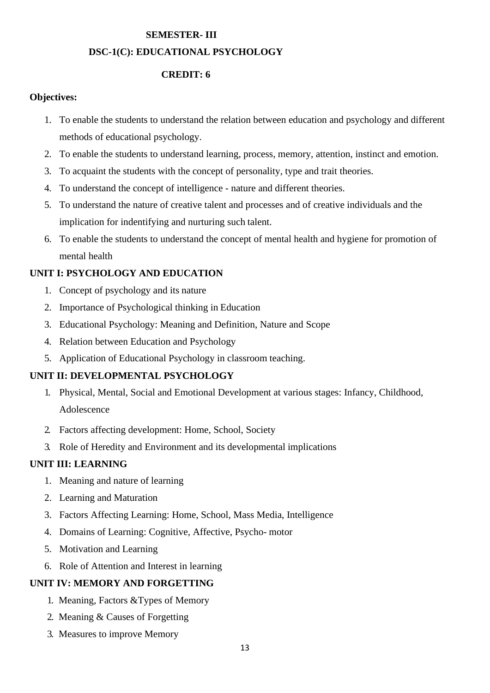# **SEMESTER- III**

# **DSC-1(C): EDUCATIONAL PSYCHOLOGY**

# **CREDIT: 6**

## **Objectives:**

- 1. To enable the students to understand the relation between education and psychology and different methods of educational psychology.
- 2. To enable the students to understand learning, process, memory, attention, instinct and emotion.
- 3. To acquaint the students with the concept of personality, type and trait theories.
- 4. To understand the concept of intelligence nature and different theories.
- 5. To understand the nature of creative talent and processes and of creative individuals and the implication for indentifying and nurturing such talent.
- 6. To enable the students to understand the concept of mental health and hygiene for promotion of mental health

# **UNIT I: PSYCHOLOGY AND EDUCATION**

- 1. Concept of psychology and its nature
- 2. Importance of Psychological thinking in Education
- 3. Educational Psychology: Meaning and Definition, Nature and Scope
- 4. Relation between Education and Psychology
- 5. Application of Educational Psychology in classroom teaching.

# **UNIT II: DEVELOPMENTAL PSYCHOLOGY**

- 1. Physical, Mental, Social and Emotional Development at various stages: Infancy, Childhood, Adolescence
- 2. Factors affecting development: Home, School, Society
- 3. Role of Heredity and Environment and its developmental implications

# **UNIT III: LEARNING**

- 1. Meaning and nature of learning
- 2. Learning and Maturation
- 3. Factors Affecting Learning: Home, School, Mass Media, Intelligence
- 4. Domains of Learning: Cognitive, Affective, Psycho- motor
- 5. Motivation and Learning
- 6. Role of Attention and Interest in learning

# **UNIT IV: MEMORY AND FORGETTING**

- 1. Meaning, Factors &Types of Memory
- 2. Meaning & Causes of Forgetting
- 3. Measures to improve Memory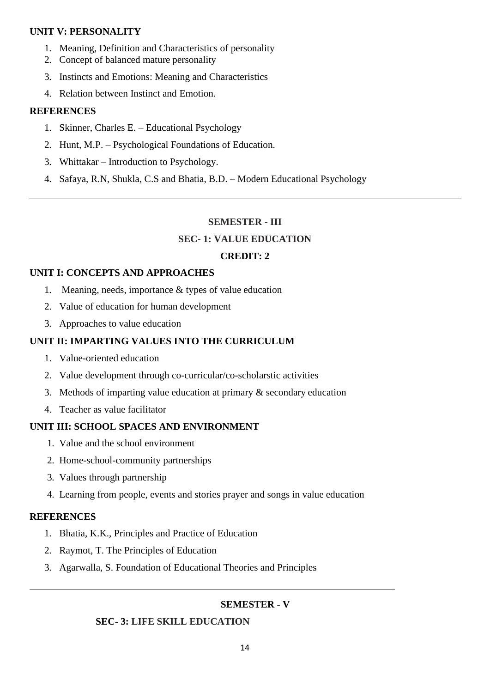#### **UNIT V: PERSONALITY**

- 1. Meaning, Definition and Characteristics of personality
- 2. Concept of balanced mature personality
- 3. Instincts and Emotions: Meaning and Characteristics
- 4. Relation between Instinct and Emotion.

#### **REFERENCES**

- 1. Skinner, Charles E. Educational Psychology
- 2. Hunt, M.P. Psychological Foundations of Education.
- 3. Whittakar Introduction to Psychology.
- 4. Safaya, R.N, Shukla, C.S and Bhatia, B.D. Modern Educational Psychology

#### **SEMESTER - III**

#### **SEC- 1: VALUE EDUCATION**

#### **CREDIT: 2**

#### **UNIT I: CONCEPTS AND APPROACHES**

- 1. Meaning, needs, importance & types of value education
- 2. Value of education for human development
- 3. Approaches to value education

## **UNIT II: IMPARTING VALUES INTO THE CURRICULUM**

- 1. Value-oriented education
- 2. Value development through co-curricular/co-scholarstic activities
- 3. Methods of imparting value education at primary & secondary education
- 4. Teacher as value facilitator

## **UNIT III: SCHOOL SPACES AND ENVIRONMENT**

- 1. Value and the school environment
- 2. Home-school-community partnerships
- 3. Values through partnership
- 4. Learning from people, events and stories prayer and songs in value education

#### **REFERENCES**

- 1. Bhatia, K.K., Principles and Practice of Education
- 2. Raymot, T. The Principles of Education
- 3. Agarwalla, S. Foundation of Educational Theories and Principles

## **SEMESTER - V**

## **SEC- 3: LIFE SKILL EDUCATION**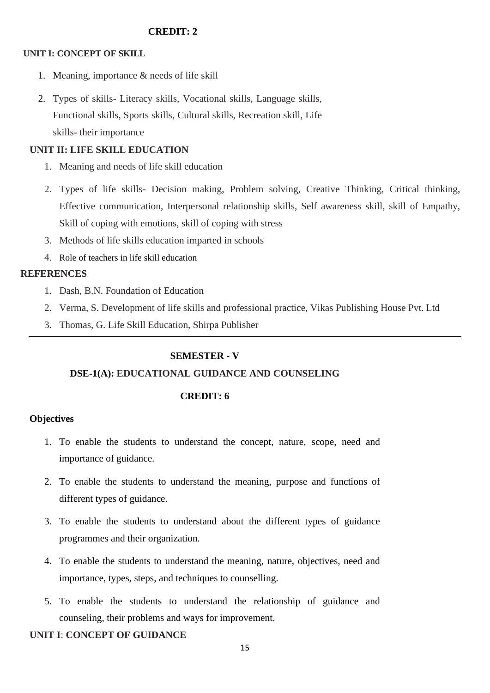#### **CREDIT: 2**

#### **UNIT I: CONCEPT OF SKILL**

- 1. Meaning, importance & needs of life skill
- 2. Types of skills- Literacy skills, Vocational skills, Language skills, Functional skills, Sports skills, Cultural skills, Recreation skill, Life skills- their importance

## **UNIT II: LIFE SKILL EDUCATION**

- 1. Meaning and needs of life skill education
- 2. Types of life skills- Decision making, Problem solving, Creative Thinking, Critical thinking, Effective communication, Interpersonal relationship skills, Self awareness skill, skill of Empathy, Skill of coping with emotions, skill of coping with stress
- 3. Methods of life skills education imparted in schools
- 4. Role of teachers in life skill education

#### **REFERENCES**

- 1. Dash, B.N. Foundation of Education
- 2. Verma, S. Development of life skills and professional practice, Vikas Publishing House Pvt. Ltd
- 3. Thomas, G. Life Skill Education, Shirpa Publisher

## **SEMESTER - V**

## **DSE-1(A): EDUCATIONAL GUIDANCE AND COUNSELING**

## **CREDIT: 6**

## **Objectives**

- 1. To enable the students to understand the concept, nature, scope, need and importance of guidance.
- 2. To enable the students to understand the meaning, purpose and functions of different types of guidance.
- 3. To enable the students to understand about the different types of guidance programmes and their organization.
- 4. To enable the students to understand the meaning, nature, objectives, need and importance, types, steps, and techniques to counselling.
- 5. To enable the students to understand the relationship of guidance and counseling, their problems and ways for improvement.

## **UNIT I**: **CONCEPT OF GUIDANCE**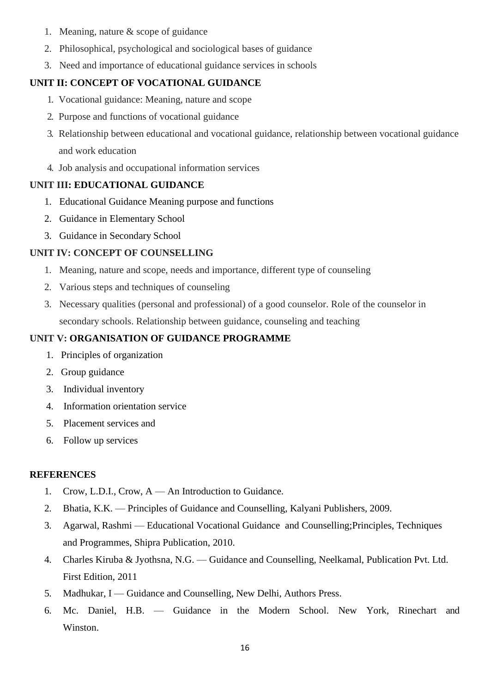- 1. Meaning, nature & scope of guidance
- 2. Philosophical, psychological and sociological bases of guidance
- 3. Need and importance of educational guidance services in schools

# **UNIT II: CONCEPT OF VOCATIONAL GUIDANCE**

- 1. Vocational guidance: Meaning, nature and scope
- 2. Purpose and functions of vocational guidance
- 3. Relationship between educational and vocational guidance, relationship between vocational guidance and work education
- 4. Job analysis and occupational information services

## **UNIT III: EDUCATIONAL GUIDANCE**

- 1. Educational Guidance Meaning purpose and functions
- 2. Guidance in Elementary School
- 3. Guidance in Secondary School

## **UNIT IV: CONCEPT OF COUNSELLING**

- 1. Meaning, nature and scope, needs and importance, different type of counseling
- 2. Various steps and techniques of counseling
- 3. Necessary qualities (personal and professional) of a good counselor. Role of the counselor in secondary schools. Relationship between guidance, counseling and teaching

## **UNIT V: ORGANISATION OF GUIDANCE PROGRAMME**

- 1. Principles of organization
- 2. Group guidance
- 3. Individual inventory
- 4. Information orientation service
- 5. Placement services and
- 6. Follow up services

## **REFERENCES**

- 1. Crow, L.D.I., Crow, A An Introduction to Guidance.
- 2. Bhatia, K.K. Principles of Guidance and Counselling, Kalyani Publishers, 2009.
- 3. Agarwal, Rashmi Educational Vocational Guidance and Counselling;Principles, Techniques and Programmes, Shipra Publication, 2010.
- 4. Charles Kiruba & Jyothsna, N.G. Guidance and Counselling, Neelkamal, Publication Pvt. Ltd. First Edition, 2011
- 5. Madhukar, I Guidance and Counselling, New Delhi, Authors Press.
- 6. Mc. Daniel, H.B. Guidance in the Modern School. New York, Rinechart and Winston.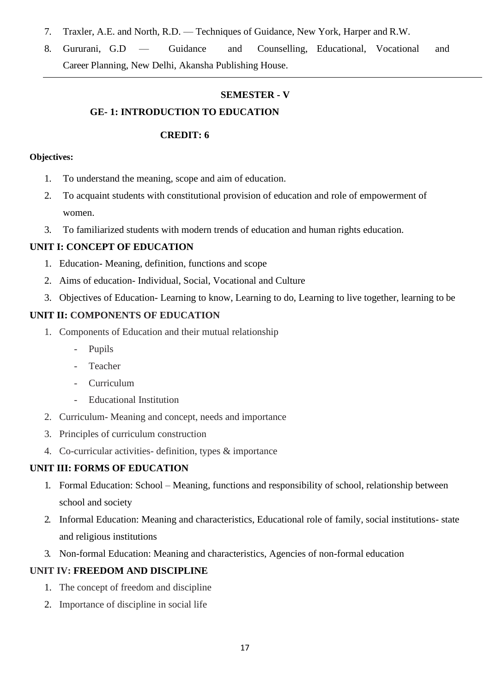- 7. Traxler, A.E. and North, R.D. Techniques of Guidance, New York, Harper and R.W.
- 8. Gururani, G.D Guidance and Counselling, Educational, Vocational and Career Planning, New Delhi, Akansha Publishing House.

# **SEMESTER - V**

## **GE- 1: INTRODUCTION TO EDUCATION**

#### **CREDIT: 6**

#### **Objectives:**

- 1. To understand the meaning, scope and aim of education.
- 2. To acquaint students with constitutional provision of education and role of empowerment of women.
- 3. To familiarized students with modern trends of education and human rights education.

## **UNIT I: CONCEPT OF EDUCATION**

- 1. Education- Meaning, definition, functions and scope
- 2. Aims of education- Individual, Social, Vocational and Culture
- 3. Objectives of Education- Learning to know, Learning to do, Learning to live together, learning to be

## **UNIT II: COMPONENTS OF EDUCATION**

- 1. Components of Education and their mutual relationship
	- Pupils
	- Teacher
	- Curriculum
	- Educational Institution
- 2. Curriculum- Meaning and concept, needs and importance
- 3. Principles of curriculum construction
- 4. Co-curricular activities- definition, types & importance

## **UNIT III: FORMS OF EDUCATION**

- 1. Formal Education: School Meaning, functions and responsibility of school, relationship between school and society
- 2. Informal Education: Meaning and characteristics, Educational role of family, social institutions- state and religious institutions
- 3. Non-formal Education: Meaning and characteristics, Agencies of non-formal education

## **UNIT IV: FREEDOM AND DISCIPLINE**

- 1. The concept of freedom and discipline
- 2. Importance of discipline in social life